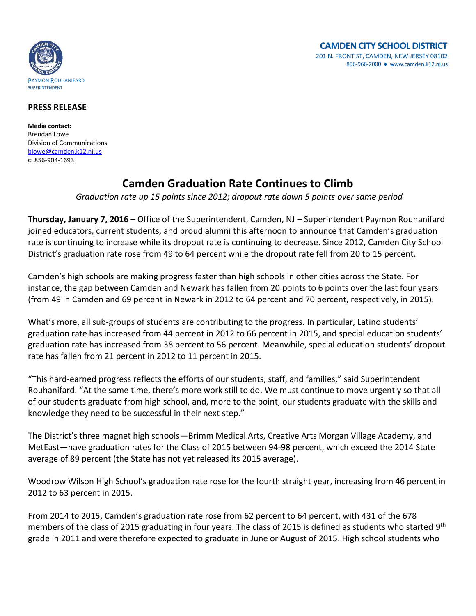

## **PRESS RELEASE**

**Media contact:** Brendan Lowe Division of Communications [blowe@camden.k12.nj.us](mailto:blowe@camden.k12.nj.us) c: 856-904-1693

## **Camden Graduation Rate Continues to Climb**

*Graduation rate up 15 points since 2012; dropout rate down 5 points over same period*

**Thursday, January 7, 2016** – Office of the Superintendent, Camden, NJ – Superintendent Paymon Rouhanifard joined educators, current students, and proud alumni this afternoon to announce that Camden's graduation rate is continuing to increase while its dropout rate is continuing to decrease. Since 2012, Camden City School District's graduation rate rose from 49 to 64 percent while the dropout rate fell from 20 to 15 percent.

Camden's high schools are making progress faster than high schools in other cities across the State. For instance, the gap between Camden and Newark has fallen from 20 points to 6 points over the last four years (from 49 in Camden and 69 percent in Newark in 2012 to 64 percent and 70 percent, respectively, in 2015).

What's more, all sub-groups of students are contributing to the progress. In particular, Latino students' graduation rate has increased from 44 percent in 2012 to 66 percent in 2015, and special education students' graduation rate has increased from 38 percent to 56 percent. Meanwhile, special education students' dropout rate has fallen from 21 percent in 2012 to 11 percent in 2015.

"This hard-earned progress reflects the efforts of our students, staff, and families," said Superintendent Rouhanifard. "At the same time, there's more work still to do. We must continue to move urgently so that all of our students graduate from high school, and, more to the point, our students graduate with the skills and knowledge they need to be successful in their next step."

The District's three magnet high schools—Brimm Medical Arts, Creative Arts Morgan Village Academy, and MetEast—have graduation rates for the Class of 2015 between 94-98 percent, which exceed the 2014 State average of 89 percent (the State has not yet released its 2015 average).

Woodrow Wilson High School's graduation rate rose for the fourth straight year, increasing from 46 percent in 2012 to 63 percent in 2015.

From 2014 to 2015, Camden's graduation rate rose from 62 percent to 64 percent, with 431 of the 678 members of the class of 2015 graduating in four years. The class of 2015 is defined as students who started 9<sup>th</sup> grade in 2011 and were therefore expected to graduate in June or August of 2015. High school students who